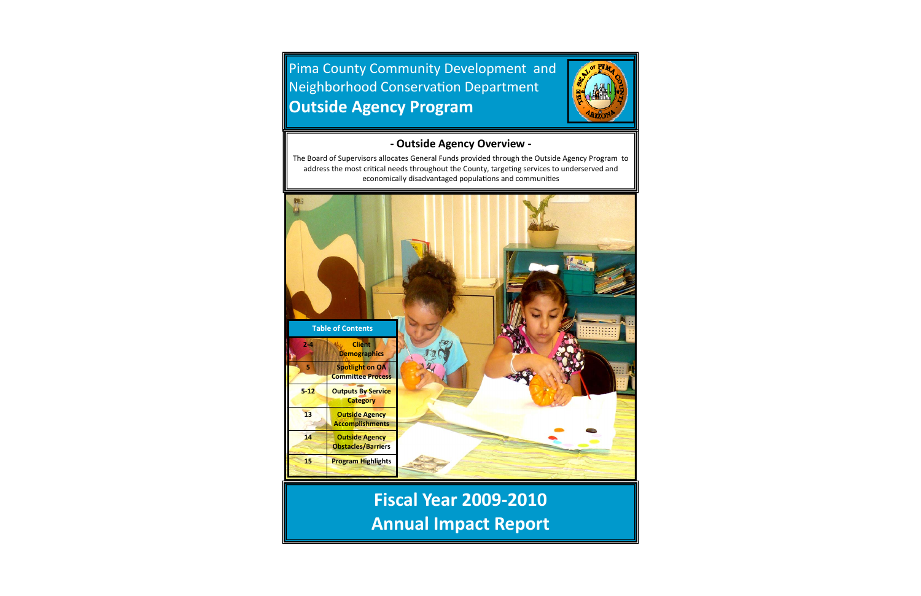# **Annual Impact Report**



The Board of Supervisors allocates General Funds provided through the Outside Agency Program to address the most critical needs throughout the County, targeting services to underserved and economically disadvantaged populations and communities

#### **‐ Outside Agency Overview ‐**

Pima County Community Development and Neighborhood Conservation Department **Outside Agency Program**

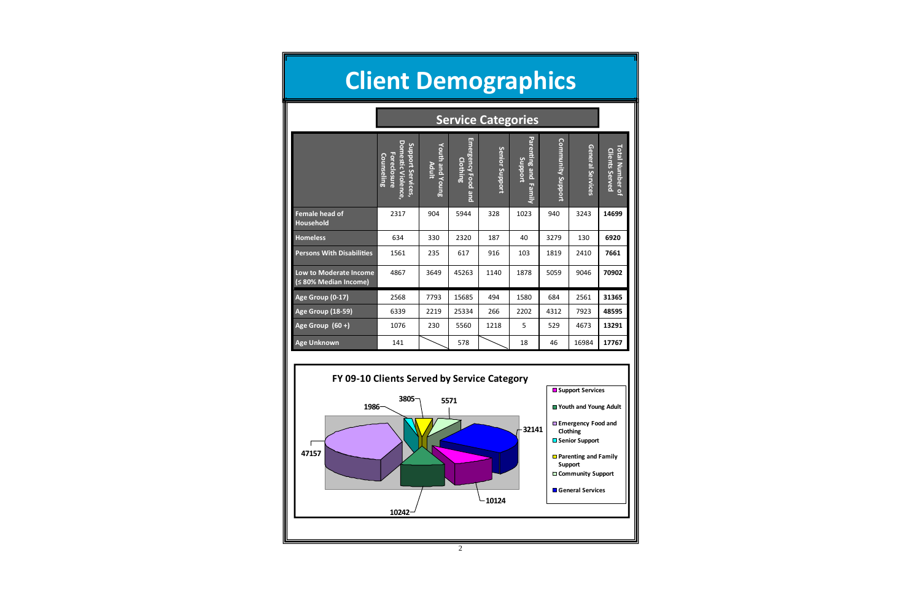

| <b>Client Demographics</b>                             |                                                                                          |                                 |                                   |                           |                                    |                          |                  |                                          |
|--------------------------------------------------------|------------------------------------------------------------------------------------------|---------------------------------|-----------------------------------|---------------------------|------------------------------------|--------------------------|------------------|------------------------------------------|
|                                                        |                                                                                          |                                 |                                   | <b>Service Categories</b> |                                    |                          |                  |                                          |
|                                                        | <b>Domestic Violence</b><br>Support Services,<br><b>Foreclosure</b><br><b>Counseling</b> | <b>Youth and Young</b><br>Adult | Emergency Food<br>Clothing<br>pue | Senior Support            | Parenting and<br>Support<br>Family | <b>Community Support</b> | General Services | Total Number of<br><b>Clients Served</b> |
| <b>Female head of</b><br><b>Household</b>              | 2317                                                                                     | 904                             | 5944                              | 328                       | 1023                               | 940                      | 3243             | 14699                                    |
| <b>Homeless</b>                                        | 634                                                                                      | 330                             | 2320                              | 187                       | 40                                 | 3279                     | 130              | 6920                                     |
| <b>Persons With Disabilities</b>                       | 1561                                                                                     | 235                             | 617                               | 916                       | 103                                | 1819                     | 2410             | 7661                                     |
| <b>Low to Moderate Income</b><br>(≤ 80% Median Income) | 4867                                                                                     | 3649                            | 45263                             | 1140                      | 1878                               | 5059                     | 9046             | 70902                                    |
| Age Group (0-17)                                       | 2568                                                                                     | 7793                            | 15685                             | 494                       | 1580                               | 684                      | 2561             | 31365                                    |
| <b>Age Group (18-59)</b>                               | 6339                                                                                     | 2219                            | 25334                             | 266                       | 2202                               | 4312                     | 7923             | 48595                                    |
| Age Group (60+)                                        | 1076                                                                                     | 230                             | 5560                              | 1218                      | 5                                  | 529                      | 4673             | 13291                                    |
| <b>Age Unknown</b>                                     | 141                                                                                      |                                 | 578                               |                           | 18                                 | 46                       | 16984            | 17767                                    |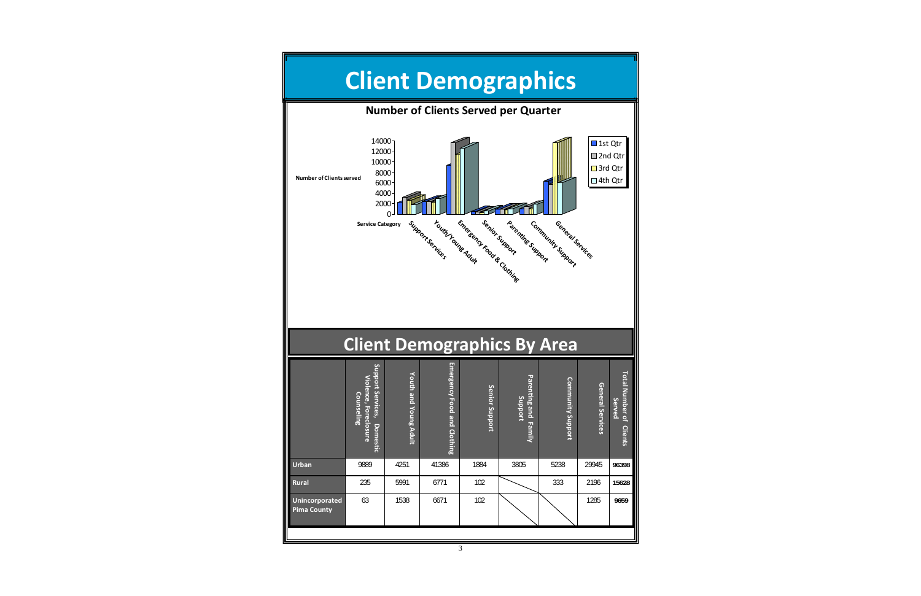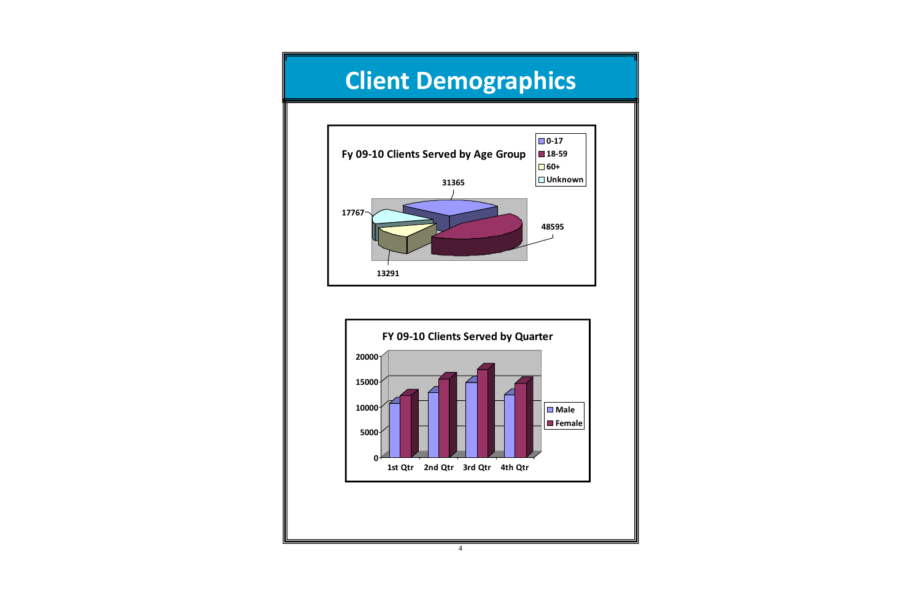



### **Client Demographics**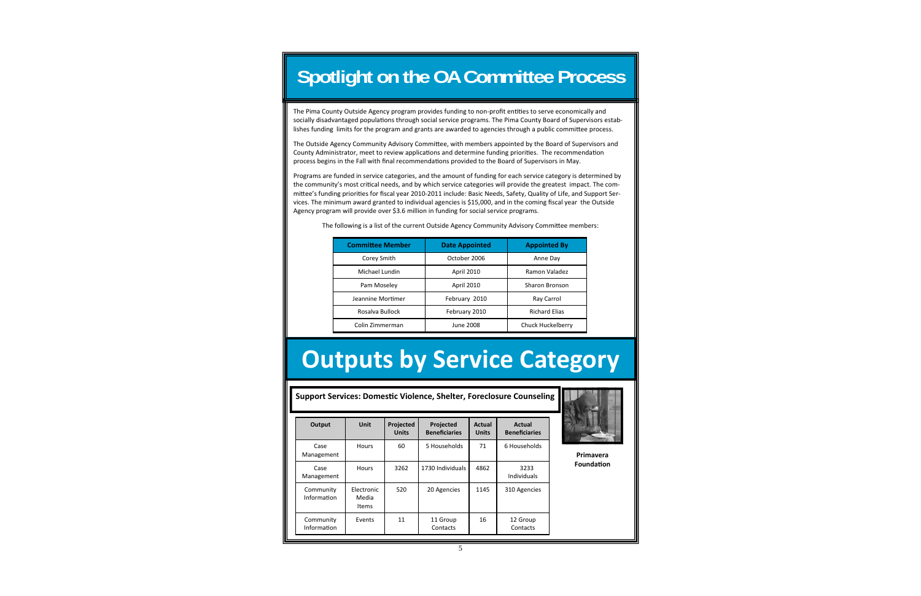**Support Services: DomesƟ<sup>c</sup> Violence, Shelter, Foreclosure Counseling**

| Output                   | Unit                         | Projected<br><b>Units</b> | <b>Projected</b><br><b>Beneficiaries</b> | Actual<br><b>Units</b> | Actual<br><b>Beneficiaries</b> |
|--------------------------|------------------------------|---------------------------|------------------------------------------|------------------------|--------------------------------|
| Case<br>Management       | <b>Hours</b>                 | 60                        | 5 Households                             | 71                     | 6 Households                   |
| Case<br>Management       | <b>Hours</b>                 | 3262                      | 1730 Individuals                         | 4862                   | 3233<br>Individuals            |
| Community<br>Information | Electronic<br>Media<br>Items | 520                       | 20 Agencies                              | 1145                   | 310 Agencies                   |
| Community<br>Information | Events                       | 11                        | 11 Group<br>Contacts                     | 16                     | 12 Group<br>Contacts           |



**PrimaveraFoundaƟon**

#### **Spotlight on the OA Committee Process**

The Pima County Outside Agency program provides funding to non-profit entities to serve economically and socially disadvantaged populations through social service programs. The Pima County Board of Supervisors establishes funding limits for the program and grants are awarded to agencies through a public committee process.

The Outside Agency Community Advisory Committee, with members appointed by the Board of Supervisors and County Administrator, meet to review applications and determine funding priorities. The recommendation process begins in the Fall with final recommendations provided to the Board of Supervisors in May.

Programs are funded in service categories, and the amount of funding for each service category is determined by the community's most critical needs, and by which service categories will provide the greatest impact. The committee's funding priorities for fiscal year 2010‐2011 include: Basic Needs, Safety, Quality of Life, and Support Ser‐ vices. The minimum award granted to individual agencies is \$15,000, and in the coming fiscal year the Outside Agency program will provide over \$3.6 million in funding for social service programs.

The following is a list of the current Outside Agency Community Advisory Committee members:

| <b>Committee Member</b> | <b>Date Appointed</b> | <b>Appointed By</b>  |
|-------------------------|-----------------------|----------------------|
| Corey Smith             | October 2006          | Anne Day             |
| Michael Lundin          | April 2010            | Ramon Valadez        |
| Pam Moseley             | April 2010            | Sharon Bronson       |
| Jeannine Mortimer       | February 2010         | Ray Carrol           |
| Rosalva Bullock         | February 2010         | <b>Richard Elias</b> |
| Colin Zimmerman         | June 2008             | Chuck Huckelberry    |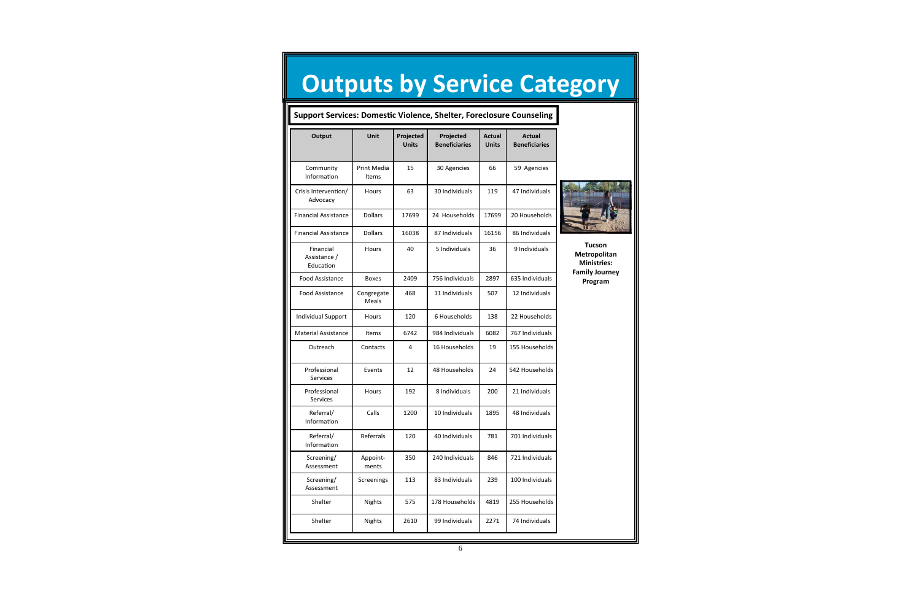| <b>Support Services: Domestic Violence, Shelter, Foreclosure Counseling</b> |                      |                           |                                   |                               |                                       |
|-----------------------------------------------------------------------------|----------------------|---------------------------|-----------------------------------|-------------------------------|---------------------------------------|
| <b>Output</b>                                                               | Unit                 | Projected<br><b>Units</b> | Projected<br><b>Beneficiaries</b> | <b>Actual</b><br><b>Units</b> | <b>Actual</b><br><b>Beneficiaries</b> |
| Community<br>Information                                                    | Print Media<br>Items | 15                        | 30 Agencies                       | 66                            | 59 Agencies                           |
| Crisis Intervention/<br>Advocacy                                            | Hours                | 63                        | 30 Individuals                    | 119                           | 47 Individuals                        |
| <b>Financial Assistance</b>                                                 | <b>Dollars</b>       | 17699                     | 24 Households                     | 17699                         | 20 Households                         |
| <b>Financial Assistance</b>                                                 | <b>Dollars</b>       | 16038                     | 87 Individuals                    | 16156                         | 86 Individuals                        |
| Financial<br>Assistance /<br>Education                                      | Hours                | 40                        | 5 Individuals                     | 36                            | 9 Individuals                         |
| Food Assistance                                                             | <b>Boxes</b>         | 2409                      | 756 Individuals                   | 2897                          | 635 Individuals                       |
| Food Assistance                                                             | Congregate<br>Meals  | 468                       | 11 Individuals                    | 507                           | 12 Individuals                        |
| <b>Individual Support</b>                                                   | Hours                | 120                       | 6 Households                      | 138                           | 22 Households                         |
| <b>Material Assistance</b>                                                  | Items                | 6742                      | 984 Individuals                   | 6082                          | 767 Individuals                       |
| Outreach                                                                    | Contacts             | 4                         | 16 Households                     | 19                            | 155 Households                        |
| Professional<br><b>Services</b>                                             | Events               | 12                        | 48 Households                     | 24                            | 542 Households                        |
| Professional<br><b>Services</b>                                             | Hours                | 192                       | 8 Individuals                     | 200                           | 21 Individuals                        |
| Referral/<br>Information                                                    | Calls                | 1200                      | 10 Individuals                    | 1895                          | 48 Individuals                        |
| Referral/<br>Information                                                    | Referrals            | 120                       | 40 Individuals                    | 781                           | 701 Individuals                       |
| Screening/<br>Assessment                                                    | Appoint-<br>ments    | 350                       | 240 Individuals                   | 846                           | 721 Individuals                       |
| Screening/<br>Assessment                                                    | Screenings           | 113                       | 83 Individuals                    | 239                           | 100 Individuals                       |
| Shelter                                                                     | Nights               | 575                       | 178 Households                    | 4819                          | 255 Households                        |
| Shelter                                                                     | <b>Nights</b>        | 2610                      | 99 Individuals                    | 2271                          | 74 Individuals                        |

**Tucson**

**Metropolitan Ministries: Family Journey Program**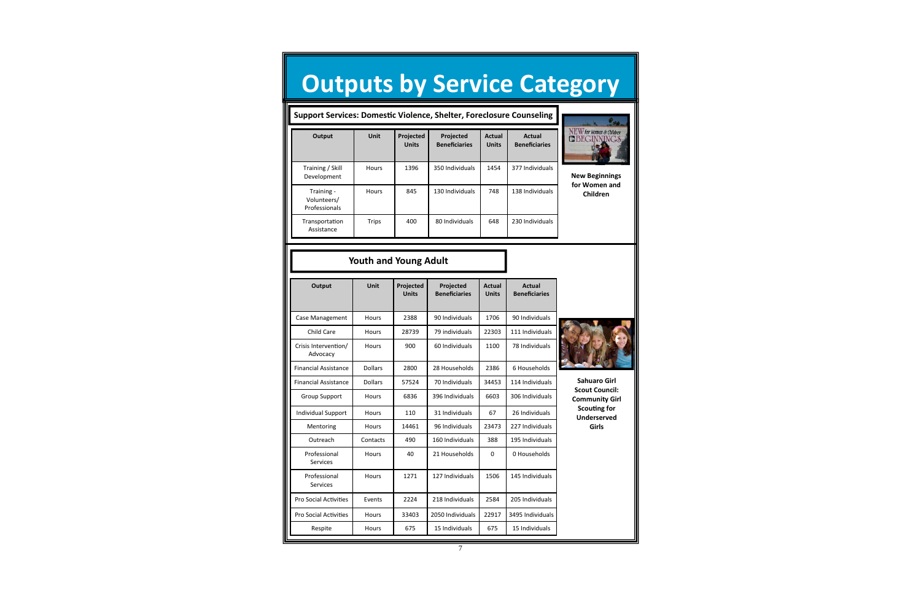#### **Youth and Young Adult**

| Output                           | <b>Unit</b>    | Projected<br><b>Units</b> | Projected<br><b>Beneficiaries</b> | <b>Actual</b><br><b>Units</b> | <b>Actual</b><br><b>Beneficiaries</b> |                                                |
|----------------------------------|----------------|---------------------------|-----------------------------------|-------------------------------|---------------------------------------|------------------------------------------------|
| Case Management                  | <b>Hours</b>   | 2388                      | 90 Individuals                    | 1706                          | 90 Individuals                        |                                                |
| Child Care                       | <b>Hours</b>   | 28739                     | 79 individuals                    | 22303                         | 111 Individuals                       |                                                |
| Crisis Intervention/<br>Advocacy | <b>Hours</b>   | 900                       | 60 Individuals                    | 1100                          | 78 Individuals                        |                                                |
| <b>Financial Assistance</b>      | <b>Dollars</b> | 2800                      | 28 Households                     | 2386                          | 6 Households                          |                                                |
| <b>Financial Assistance</b>      | <b>Dollars</b> | 57524                     | 70 Individuals                    | 34453                         | 114 Individuals                       | <b>Sahuaro Girl</b>                            |
| <b>Group Support</b>             | <b>Hours</b>   | 6836                      | 396 Individuals                   | 6603                          | 306 Individuals                       | <b>Scout Council:</b><br><b>Community Girl</b> |
| <b>Individual Support</b>        | <b>Hours</b>   | 110                       | 31 Individuals                    | 67                            | 26 Individuals                        | <b>Scouting for</b><br><b>Underserved</b>      |
| Mentoring                        | <b>Hours</b>   | 14461                     | 96 Individuals                    | 23473                         | 227 Individuals                       | Girls                                          |
| Outreach                         | Contacts       | 490                       | 160 Individuals                   | 388                           | 195 Individuals                       |                                                |
| Professional<br><b>Services</b>  | <b>Hours</b>   | 40                        | 21 Households                     | $\mathbf 0$                   | 0 Households                          |                                                |
| Professional<br><b>Services</b>  | <b>Hours</b>   | 1271                      | 127 Individuals                   | 1506                          | 145 Individuals                       |                                                |
| <b>Pro Social Activities</b>     | Events         | 2224                      | 218 Individuals                   | 2584                          | 205 Individuals                       |                                                |
| <b>Pro Social Activities</b>     | <b>Hours</b>   | 33403                     | 2050 Individuals                  | 22917                         | 3495 Individuals                      |                                                |
| Respite                          | Hours          | 675                       | 15 Individuals                    | 675                           | 15 Individuals                        |                                                |

# **Outputs by Service Category**

|                                            | <b>Support Services: Domestic Violence, Shelter, Foreclosure Counseling</b> |                           |                                   |                        |                                |                             |  |  |  |
|--------------------------------------------|-----------------------------------------------------------------------------|---------------------------|-----------------------------------|------------------------|--------------------------------|-----------------------------|--|--|--|
| Output                                     | <b>Unit</b>                                                                 | Projected<br><b>Units</b> | Projected<br><b>Beneficiaries</b> | Actual<br><b>Units</b> | Actual<br><b>Beneficiaries</b> | $\frac{\text{N}}{\text{C}}$ |  |  |  |
| Training / Skill<br>Development            | <b>Hours</b>                                                                | 1396                      | 350 Individuals                   | 1454                   | 377 Individuals                |                             |  |  |  |
| Training -<br>Volunteers/<br>Professionals | <b>Hours</b>                                                                | 845                       | 130 Individuals                   | 748                    | 138 Individuals                |                             |  |  |  |
| Transportation<br>Assistance               | <b>Trips</b>                                                                | 400                       | 80 Individuals                    | 648                    | 230 Individuals                |                             |  |  |  |



**New Beginnings for Women and Children**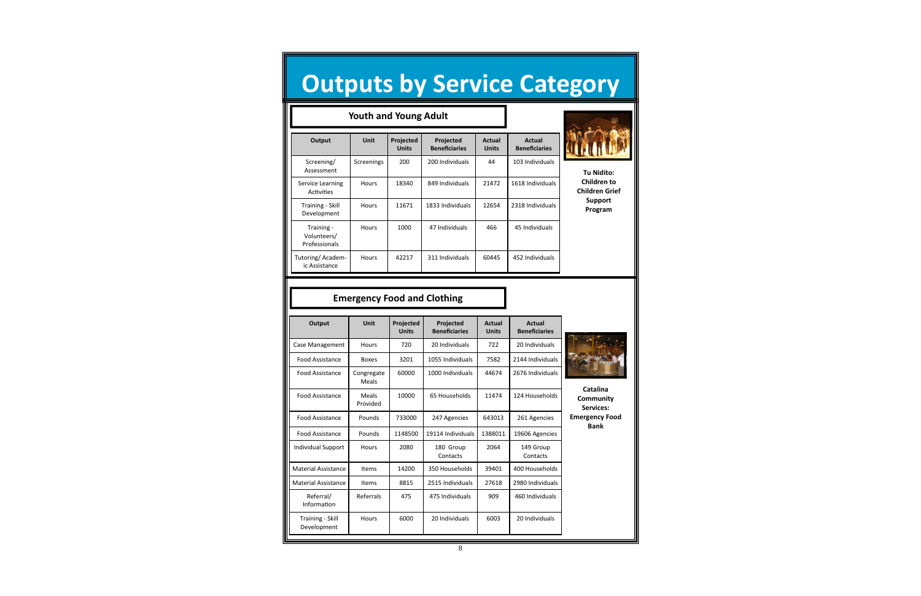8

## **Outputs by Service Category**

| Output                          | Unit                | Projected<br><b>Units</b> | <b>Projected</b><br><b>Beneficiaries</b> | <b>Actual</b><br><b>Units</b> | Actual<br><b>Beneficiaries</b> |                                    |
|---------------------------------|---------------------|---------------------------|------------------------------------------|-------------------------------|--------------------------------|------------------------------------|
| Case Management                 | <b>Hours</b>        | 720                       | 20 Individuals                           | 722                           | 20 Individuals                 |                                    |
| Food Assistance                 | <b>Boxes</b>        | 3201                      | 1055 Individuals                         | 7582                          | 2144 Individuals               |                                    |
| Food Assistance                 | Congregate<br>Meals | 60000                     | 1000 Individuals                         | 44674                         | 2676 Individuals               |                                    |
| Food Assistance                 | Meals<br>Provided   | 10000                     | 65 Households                            | 11474                         | 124 Households                 | Catalina<br>Community<br>Services: |
| <b>Food Assistance</b>          | Pounds              | 733000                    | 247 Agencies                             | 643013                        | 261 Agencies                   | <b>Emergency Food</b>              |
| <b>Food Assistance</b>          | Pounds              | 1148500                   | 19114 Individuals                        | 1388011                       | 19606 Agencies                 | <b>Bank</b>                        |
| <b>Individual Support</b>       | <b>Hours</b>        | 2080                      | 180 Group<br>Contacts                    | 2064                          | 149 Group<br>Contacts          |                                    |
| <b>Material Assistance</b>      | <b>Items</b>        | 14200                     | 350 Households                           | 39401                         | 400 Households                 |                                    |
| <b>Material Assistance</b>      | Items               | 8815                      | 2515 Individuals                         | 27618                         | 2980 Individuals               |                                    |
| Referral/<br>Information        | Referrals           | 475                       | 475 Individuals                          | 909                           | 460 Individuals                |                                    |
| Training - Skill<br>Development | <b>Hours</b>        | 6000                      | 20 Individuals                           | 6003                          | 20 Individuals                 |                                    |

#### **Emergency Food and Clothing**

|                                            | <b>Youth and Young Adult</b> |                           |                                   |                        |                                |  |  |  |
|--------------------------------------------|------------------------------|---------------------------|-----------------------------------|------------------------|--------------------------------|--|--|--|
| Output                                     | <b>Unit</b>                  | Projected<br><b>Units</b> | Projected<br><b>Beneficiaries</b> | Actual<br><b>Units</b> | Actual<br><b>Beneficiaries</b> |  |  |  |
| Screening/<br>Assessment                   | Screenings                   | 200                       | 200 Individuals                   | 44                     | 103 Individuals                |  |  |  |
| Service Learning<br><b>Activities</b>      | <b>Hours</b>                 | 18340                     | 849 Individuals                   | 21472                  | 1618 Individuals               |  |  |  |
| Training - Skill<br>Development            | <b>Hours</b>                 | 11671                     | 1833 Individuals                  | 12654                  | 2318 Individuals               |  |  |  |
| Training -<br>Volunteers/<br>Professionals | <b>Hours</b>                 | 1000                      | 47 Individuals                    | 466                    | 45 Individuals                 |  |  |  |
| Tutoring/Academ-<br>ic Assistance          | Hours                        | 42217                     | 311 Individuals                   | 60445                  | 452 Individuals                |  |  |  |



**Tu Nidito: Children to Children Grief Support Program**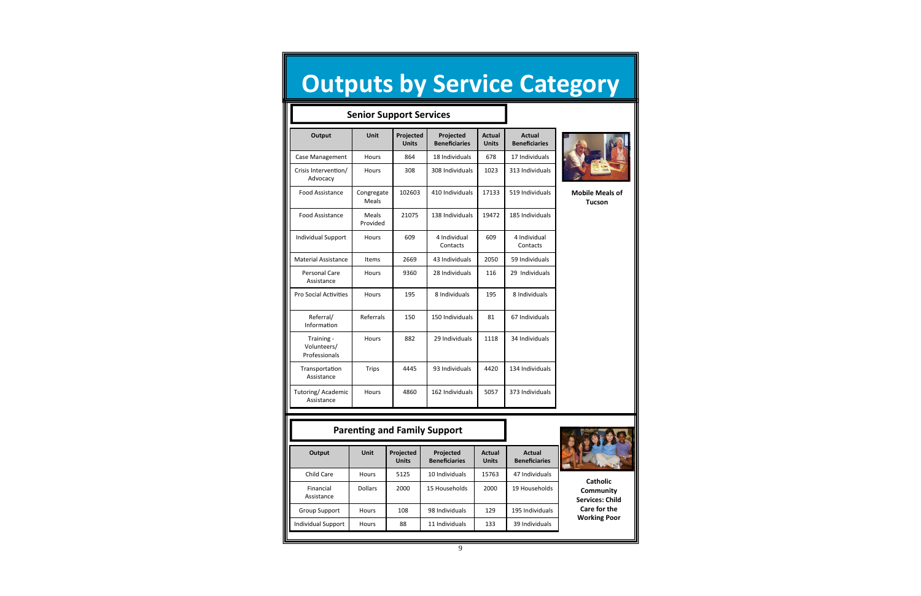**ParenƟng and Family Support**

|                                            | <b>Senior Support Services</b> |                           |                                   |                               |                                       |                                         |
|--------------------------------------------|--------------------------------|---------------------------|-----------------------------------|-------------------------------|---------------------------------------|-----------------------------------------|
| Output                                     | <b>Unit</b>                    | Projected<br><b>Units</b> | Projected<br><b>Beneficiaries</b> | <b>Actual</b><br><b>Units</b> | <b>Actual</b><br><b>Beneficiaries</b> |                                         |
| Case Management                            | <b>Hours</b>                   | 864                       | 18 Individuals                    | 678                           | 17 Individuals                        |                                         |
| Crisis Intervention/<br>Advocacy           | <b>Hours</b>                   | 308                       | 308 Individuals                   | 1023                          | 313 Individuals                       |                                         |
| <b>Food Assistance</b>                     | Congregate<br>Meals            | 102603                    | 410 Individuals                   | 17133                         | 519 Individuals                       | <b>Mobile Meals of</b><br><b>Tucson</b> |
| <b>Food Assistance</b>                     | Meals<br>Provided              | 21075                     | 138 Individuals                   | 19472                         | 185 Individuals                       |                                         |
| <b>Individual Support</b>                  | <b>Hours</b>                   | 609                       | 4 Individual<br>Contacts          | 609                           | 4 Individual<br>Contacts              |                                         |
| <b>Material Assistance</b>                 | Items                          | 2669                      | 43 Individuals                    | 2050                          | 59 Individuals                        |                                         |
| <b>Personal Care</b><br>Assistance         | <b>Hours</b>                   | 9360                      | 28 Individuals                    | 116                           | 29 Individuals                        |                                         |
| <b>Pro Social Activities</b>               | Hours                          | 195                       | 8 Individuals                     | 195                           | 8 Individuals                         |                                         |
| Referral/<br>Information                   | Referrals                      | 150                       | 150 Individuals                   | 81                            | 67 Individuals                        |                                         |
| Training -<br>Volunteers/<br>Professionals | Hours                          | 882                       | 29 Individuals                    | 1118                          | 34 Individuals                        |                                         |
| Transportation<br>Assistance               | <b>Trips</b>                   | 4445                      | 93 Individuals                    | 4420                          | 134 Individuals                       |                                         |
| Tutoring/Academic<br>Assistance            | Hours                          | 4860                      | 162 Individuals                   | 5057                          | 373 Individuals                       |                                         |

**Output Unit Projected**

**Units**

**Projected Beneficiaries**

**Actual Units** **Actual**



Individual Support

|                         |                | ----- | рененски на    | ----- | репенсинез      |
|-------------------------|----------------|-------|----------------|-------|-----------------|
| Child Care              | <b>Hours</b>   | 5125  | 10 Individuals | 15763 | 47 Individuals  |
| Financial<br>Assistance | <b>Dollars</b> | 2000  | 15 Households  | 2000  | 19 Households   |
| <b>Group Support</b>    | <b>Hours</b>   | 108   | 98 Individuals | 129   | 195 Individuals |
| ndividual Support       | <b>Hours</b>   | 88    | 11 Individuals | 133   | 39 Individuals  |
|                         |                |       |                |       |                 |

**Catholic Community Services: Child Care for the Working Poor**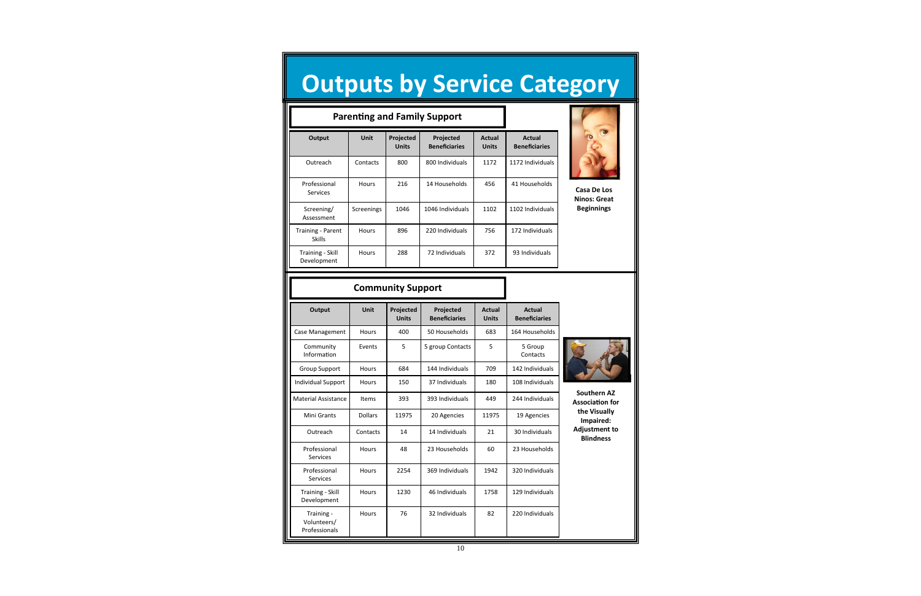#### **Community Support**

| <b>Parenting and Family Support</b>       |              |                           |                                   |                               |                                |
|-------------------------------------------|--------------|---------------------------|-----------------------------------|-------------------------------|--------------------------------|
| Output                                    | <b>Unit</b>  | Projected<br><b>Units</b> | Projected<br><b>Beneficiaries</b> | <b>Actual</b><br><b>Units</b> | Actual<br><b>Beneficiaries</b> |
| Outreach                                  | Contacts     | 800                       | 800 Individuals                   | 1172                          | 1172 Individuals               |
| Professional<br>Services                  | <b>Hours</b> | 216                       | 14 Households                     | 456                           | 41 Households                  |
| Screening/<br>Assessment                  | Screenings   | 1046                      | 1046 Individuals                  | 1102                          | 1102 Individuals               |
| <b>Training - Parent</b><br><b>Skills</b> | <b>Hours</b> | 896                       | 220 Individuals                   | 756                           | 172 Individuals                |
| Training - Skill<br>Development           | <b>Hours</b> | 288                       | 72 Individuals                    | 372                           | 93 Individuals                 |



| Output                                     | <b>Unit</b>    | Projected<br><b>Units</b> | Projected<br><b>Beneficiaries</b> | <b>Actual</b><br><b>Units</b> | Actual<br><b>Beneficiaries</b> |  |
|--------------------------------------------|----------------|---------------------------|-----------------------------------|-------------------------------|--------------------------------|--|
| Case Management                            | Hours          | 400                       | 50 Households                     | 683                           | 164 Households                 |  |
| Community<br>Information                   | Events         | 5                         | 5 group Contacts                  | 5                             | 5 Group<br>Contacts            |  |
| <b>Group Support</b>                       | Hours          | 684                       | 144 Individuals                   | 709                           | 142 Individuals                |  |
| <b>Individual Support</b>                  | Hours          | 150                       | 37 Individuals                    | 180                           | 108 Individuals                |  |
| <b>Material Assistance</b>                 | <b>Items</b>   | 393                       | 393 Individuals                   | 449                           | 244 Individuals                |  |
| Mini Grants                                | <b>Dollars</b> | 11975                     | 20 Agencies                       | 11975                         | 19 Agencies                    |  |
| Outreach                                   | Contacts       | 14                        | 14 Individuals                    | 21                            | 30 Individuals                 |  |
| Professional<br>Services                   | Hours          | 48                        | 23 Households                     | 60                            | 23 Households                  |  |
| Professional<br>Services                   | Hours          | 2254                      | 369 Individuals                   | 1942                          | 320 Individuals                |  |
| <b>Training - Skill</b><br>Development     | Hours          | 1230                      | 46 Individuals                    | 1758                          | 129 Individuals                |  |
| Training -<br>Volunteers/<br>Professionals | Hours          | 76                        | 32 Individuals                    | 82                            | 220 Individuals                |  |



**Casa De Los Ninos: Great Beginnings**

**Southern AZ AssociaƟon for the Visually Impaired: Adjustment to Blindness**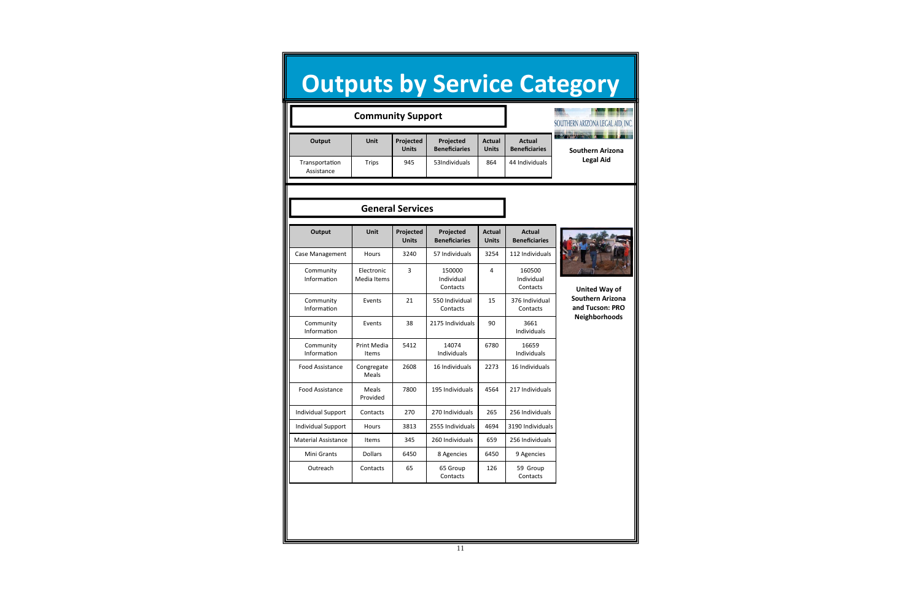|                              | <b>Community Support</b>  | SOUTHERN ARIZONA LEGAL AID, IN |                                   |                               |                                       |                                                                                     |
|------------------------------|---------------------------|--------------------------------|-----------------------------------|-------------------------------|---------------------------------------|-------------------------------------------------------------------------------------|
| Output                       | Unit                      | Projected<br><b>Units</b>      | Projected<br><b>Beneficiaries</b> | <b>Actual</b><br><b>Units</b> | <b>Actual</b><br><b>Beneficiaries</b> | <b>CONTINUES AND LA</b><br><b>Southern Arizona</b>                                  |
| Transportation<br>Assistance | <b>Trips</b>              | 945                            | 53Individuals                     | 864                           | 44 Individuals                        | <b>Legal Aid</b>                                                                    |
|                              |                           | <b>General Services</b>        |                                   |                               |                                       |                                                                                     |
|                              |                           |                                |                                   |                               |                                       |                                                                                     |
| Output                       | Unit                      | Projected<br><b>Units</b>      | Projected<br><b>Beneficiaries</b> | <b>Actual</b><br><b>Units</b> | <b>Actual</b><br><b>Beneficiaries</b> |                                                                                     |
| Case Management              | <b>Hours</b>              | 3240                           | 57 Individuals                    | 3254                          | 112 Individuals                       |                                                                                     |
| Community<br>Information     | Electronic<br>Media Items | 3                              | 150000<br>Individual<br>Contacts  | $\overline{4}$                | 160500<br>Individual<br>Contacts      | <b>United Way of</b><br><b>Southern Arizona</b><br>and Tucson: PRO<br>Neighborhoods |
| Community<br>Information     | Events                    | 21                             | 550 Individual<br>Contacts        | 15                            | 376 Individual<br>Contacts            |                                                                                     |
| Community<br>Information     | Events                    | 38                             | 2175 Individuals                  | 90                            | 3661<br>Individuals                   |                                                                                     |
| Community<br>Information     | Print Media<br>Items      | 5412                           | 14074<br>Individuals              | 6780                          | 16659<br>Individuals                  |                                                                                     |
| <b>Food Assistance</b>       | Congregate<br>Meals       | 2608                           | 16 Individuals                    | 2273                          | 16 Individuals                        |                                                                                     |
| <b>Food Assistance</b>       | Meals<br>Provided         | 7800                           | 195 Individuals                   | 4564                          | 217 Individuals                       |                                                                                     |
| <b>Individual Support</b>    | Contacts                  | 270                            | 270 Individuals                   | 265                           | 256 Individuals                       |                                                                                     |
| <b>Individual Support</b>    | Hours                     | 3813                           | 2555 Individuals                  | 4694                          | 3190 Individuals                      |                                                                                     |
| <b>Material Assistance</b>   | Items                     | 345                            | 260 Individuals                   | 659                           | 256 Individuals                       |                                                                                     |
| Mini Grants                  | Dollars                   | 6450                           | 8 Agencies                        | 6450                          | 9 Agencies                            |                                                                                     |
| Outreach                     | Contacts                  | 65                             | 65 Group<br>Contacts              | 126                           | 59 Group<br>Contacts                  |                                                                                     |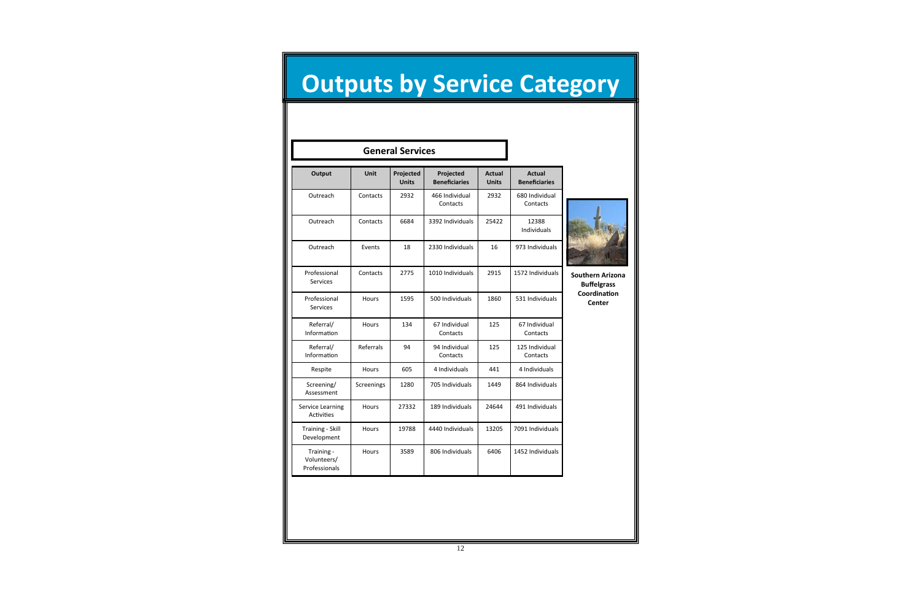12

## **Outputs by Service Category**

| Output                                     | <b>Unit</b>  | Projected<br><b>Units</b> | Projected<br><b>Beneficiaries</b> | <b>Actual</b><br><b>Units</b> | <b>Actual</b><br><b>Beneficiaries</b> |
|--------------------------------------------|--------------|---------------------------|-----------------------------------|-------------------------------|---------------------------------------|
| Outreach                                   | Contacts     | 2932                      | 466 Individual<br>Contacts        | 2932                          | 680 Individual<br>Contacts            |
| Outreach                                   | Contacts     | 6684                      | 3392 Individuals                  | 25422                         | 12388<br>Individuals                  |
| Outreach                                   | Events       | 18                        | 2330 Individuals                  | 16                            | 973 Individuals                       |
| Professional<br>Services                   | Contacts     | 2775                      | 1010 Individuals                  | 2915                          | 1572 Individuals                      |
| Professional<br><b>Services</b>            | Hours        | 1595                      | 500 Individuals                   | 1860                          | 531 Individuals                       |
| Referral/<br>Information                   | Hours        | 134                       | 67 Individual<br>Contacts         | 125                           | 67 Individual<br>Contacts             |
| Referral/<br>Information                   | Referrals    | 94                        | 94 Individual<br>Contacts         | 125                           | 125 Individual<br>Contacts            |
| Respite                                    | Hours        | 605                       | 4 Individuals                     | 441                           | 4 Individuals                         |
| Screening/<br>Assessment                   | Screenings   | 1280                      | 705 Individuals                   | 1449                          | 864 Individuals                       |
| Service Learning<br><b>Activities</b>      | Hours        | 27332                     | 189 Individuals                   | 24644                         | 491 Individuals                       |
| Training - Skill<br>Development            | <b>Hours</b> | 19788                     | 4440 Individuals                  | 13205                         | 7091 Individuals                      |
| Training -<br>Volunteers/<br>Professionals | Hours        | 3589                      | 806 Individuals                   | 6406                          | 1452 Individuals                      |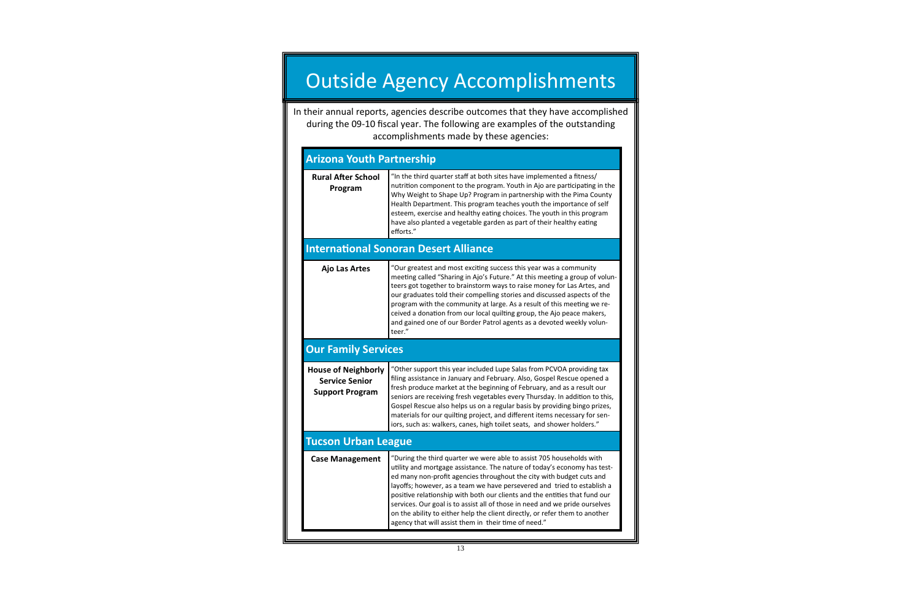#### Outside Agency Accomplishments

In their annual reports, agencies describe outcomes that they have accomplished during the 09‐10 fiscal year. The following are examples of the outstanding accomplishments made by these agencies:

| <b>Arizona Youth Partnership</b>                                              |                                                                                                                                                                                                                                                                                                                                                                                                                                                                                                                                                                                                         |  |  |  |  |
|-------------------------------------------------------------------------------|---------------------------------------------------------------------------------------------------------------------------------------------------------------------------------------------------------------------------------------------------------------------------------------------------------------------------------------------------------------------------------------------------------------------------------------------------------------------------------------------------------------------------------------------------------------------------------------------------------|--|--|--|--|
| <b>Rural After School</b><br>Program                                          | "In the third quarter staff at both sites have implemented a fitness/<br>nutrition component to the program. Youth in Ajo are participating in the<br>Why Weight to Shape Up? Program in partnership with the Pima County<br>Health Department. This program teaches youth the importance of self<br>esteem, exercise and healthy eating choices. The youth in this program<br>have also planted a vegetable garden as part of their healthy eating<br>efforts."                                                                                                                                        |  |  |  |  |
|                                                                               | <b>International Sonoran Desert Alliance</b>                                                                                                                                                                                                                                                                                                                                                                                                                                                                                                                                                            |  |  |  |  |
| <b>Ajo Las Artes</b>                                                          | "Our greatest and most exciting success this year was a community<br>meeting called "Sharing in Ajo's Future." At this meeting a group of volun-<br>teers got together to brainstorm ways to raise money for Las Artes, and<br>our graduates told their compelling stories and discussed aspects of the<br>program with the community at large. As a result of this meeting we re-<br>ceived a donation from our local quilting group, the Ajo peace makers,<br>and gained one of our Border Patrol agents as a devoted weekly volun-<br>teer."                                                         |  |  |  |  |
| <b>Our Family Services</b>                                                    |                                                                                                                                                                                                                                                                                                                                                                                                                                                                                                                                                                                                         |  |  |  |  |
| <b>House of Neighborly</b><br><b>Service Senior</b><br><b>Support Program</b> | "Other support this year included Lupe Salas from PCVOA providing tax<br>filing assistance in January and February. Also, Gospel Rescue opened a<br>fresh produce market at the beginning of February, and as a result our<br>seniors are receiving fresh vegetables every Thursday. In addition to this,<br>Gospel Rescue also helps us on a regular basis by providing bingo prizes,<br>materials for our quilting project, and different items necessary for sen-<br>iors, such as: walkers, canes, high toilet seats, and shower holders."                                                          |  |  |  |  |
| <b>Tucson Urban League</b>                                                    |                                                                                                                                                                                                                                                                                                                                                                                                                                                                                                                                                                                                         |  |  |  |  |
| <b>Case Management</b>                                                        | "During the third quarter we were able to assist 705 households with<br>utility and mortgage assistance. The nature of today's economy has test-<br>ed many non-profit agencies throughout the city with budget cuts and<br>layoffs; however, as a team we have persevered and tried to establish a<br>positive relationship with both our clients and the entities that fund our<br>services. Our goal is to assist all of those in need and we pride ourselves<br>on the ability to either help the client directly, or refer them to another<br>agency that will assist them in their time of need." |  |  |  |  |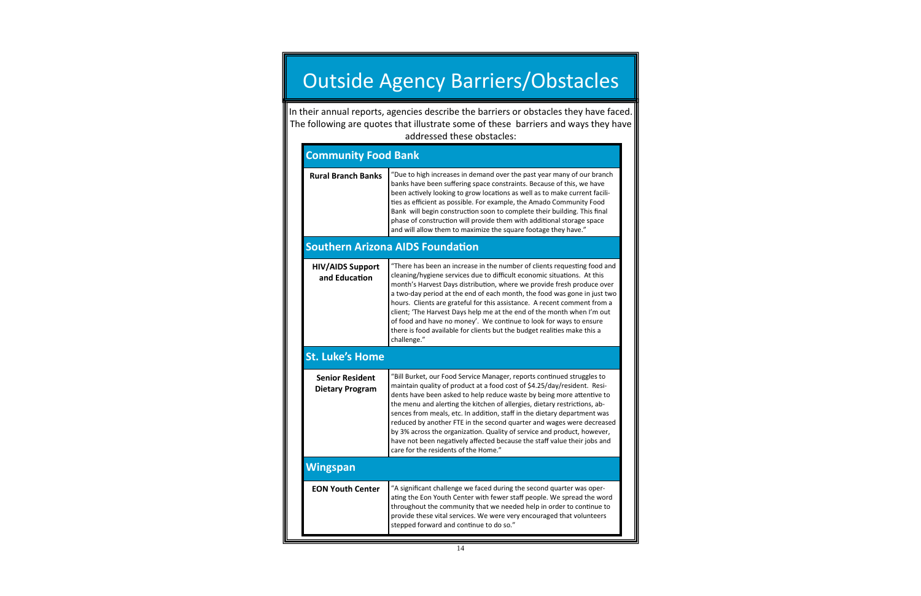#### **Community Food Bank**

| <b>Rural Branch Banks</b>                        | "Due to high increases in demand over the past year many of our branch<br>banks have been suffering space constraints. Because of this, we have<br>been actively looking to grow locations as well as to make current facili-<br>ties as efficient as possible. For example, the Amado Community Food<br>Bank will begin construction soon to complete their building. This final<br>phase of construction will provide them with additional storage space<br>and will allow them to maximize the square footage they have."                                                                                                                                 |  |  |  |  |  |
|--------------------------------------------------|--------------------------------------------------------------------------------------------------------------------------------------------------------------------------------------------------------------------------------------------------------------------------------------------------------------------------------------------------------------------------------------------------------------------------------------------------------------------------------------------------------------------------------------------------------------------------------------------------------------------------------------------------------------|--|--|--|--|--|
|                                                  | <b>Southern Arizona AIDS Foundation</b>                                                                                                                                                                                                                                                                                                                                                                                                                                                                                                                                                                                                                      |  |  |  |  |  |
| <b>HIV/AIDS Support</b><br>and Education         | "There has been an increase in the number of clients requesting food and<br>cleaning/hygiene services due to difficult economic situations. At this<br>month's Harvest Days distribution, where we provide fresh produce over<br>a two-day period at the end of each month, the food was gone in just two<br>hours. Clients are grateful for this assistance. A recent comment from a<br>client; 'The Harvest Days help me at the end of the month when I'm out<br>of food and have no money'. We continue to look for ways to ensure<br>there is food available for clients but the budget realities make this a<br>challenge."                             |  |  |  |  |  |
| <b>St. Luke's Home</b>                           |                                                                                                                                                                                                                                                                                                                                                                                                                                                                                                                                                                                                                                                              |  |  |  |  |  |
| <b>Senior Resident</b><br><b>Dietary Program</b> | "Bill Burket, our Food Service Manager, reports continued struggles to<br>maintain quality of product at a food cost of \$4.25/day/resident. Resi-<br>dents have been asked to help reduce waste by being more attentive to<br>the menu and alerting the kitchen of allergies, dietary restrictions, ab-<br>sences from meals, etc. In addition, staff in the dietary department was<br>reduced by another FTE in the second quarter and wages were decreased<br>by 3% across the organization. Quality of service and product, however,<br>have not been negatively affected because the staff value their jobs and<br>care for the residents of the Home." |  |  |  |  |  |
| <b>Wingspan</b>                                  |                                                                                                                                                                                                                                                                                                                                                                                                                                                                                                                                                                                                                                                              |  |  |  |  |  |
| <b>EON Youth Center</b>                          | "A significant challenge we faced during the second quarter was oper-<br>ating the Eon Youth Center with fewer staff people. We spread the word<br>throughout the community that we needed help in order to continue to<br>provide these vital services. We were very encouraged that volunteers<br>stepped forward and continue to do so."                                                                                                                                                                                                                                                                                                                  |  |  |  |  |  |

### Outside Agency Barriers/Obstacles

In their annual reports, agencies describe the barriers or obstacles they have faced. The following are quotes that illustrate some of these barriers and ways they have addressed these obstacles: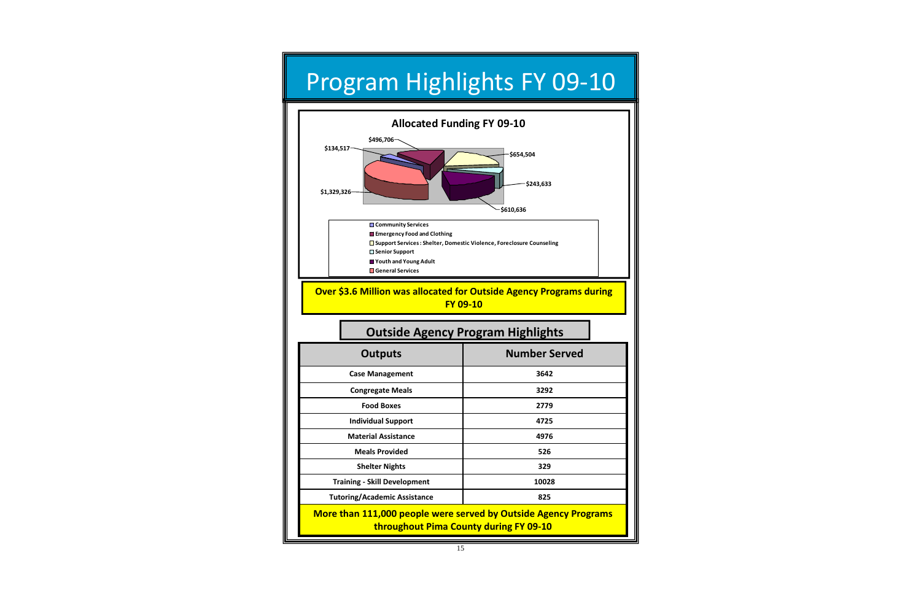### Program Highlights FY 09‐10